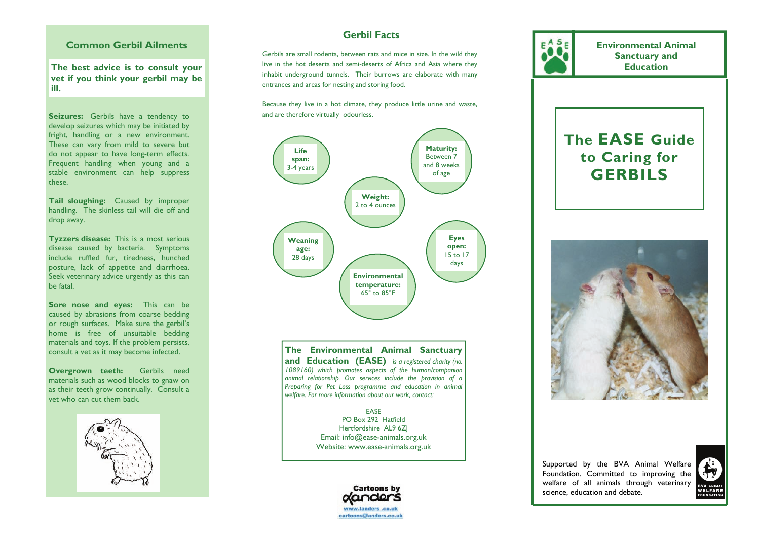### **Common Gerbil Ailments**

**The best advice is to consult your vet if you think your gerbil may be ill.** 

Seizures: Gerbils have a tendency to develop seizures which may be initiated by fright, handling or a new environment. These can vary from mild to severe but do not appear to have long-term effects. Frequent handling when young and a stable environment can help suppress these.

**Tail sloughing:** Caused by improper handling. The skinless tail will die off and drop away.

**Tyzzers disease:** This is a most serious disease caused by bacteria. Symptoms include ruffled fur, tiredness, hunched posture, lack of appetite and diarrhoea. Seek veterinary advice urgently as this can be fatal.

**Sore nose and eyes:** This can be caused by abrasions from coarse bedding or rough surfaces. Make sure the gerbil's home is free of unsuitable bedding materials and toys. If the problem persists, consult a vet as it may become infected.

**Overgrown teeth:** Gerbils need materials such as wood blocks to gnaw on as their teeth grow continually. Consult a vet who can cut them back.



## **Gerbil Facts**

Gerbils are small rodents, between rats and mice in size. In the wild they live in the hot deserts and semi-deserts of Africa and Asia where they inhabit underground tunnels. Their burrows are elaborate with many entrances and areas for nesting and storing food.

Because they live in a hot climate, they produce little urine and waste, and are therefore virtually odourless.



**The Environmental Animal Sanctuary and Education (EASE)** *is a registered charity (no. 1089160) which promotes aspects of the human/companion animal relationship. Our services include the provision of a Preparing for Pet Loss programme and education in animal welfare. For more information about our work, contact:* 

> EASE PO Box 292 Hatfield Hertfordshire AL9 6ZJ Email: info@ease-animals.org.uk Website: www.ease-animals.org.uk



**Environmental Animal Sanctuary and Education** 

# **The EASE Guide to Caring for GERBILS**



Supported by the BVA Animal Welfare Foundation. Committed to improving the welfare of all animals through veterinary science, education and debate.